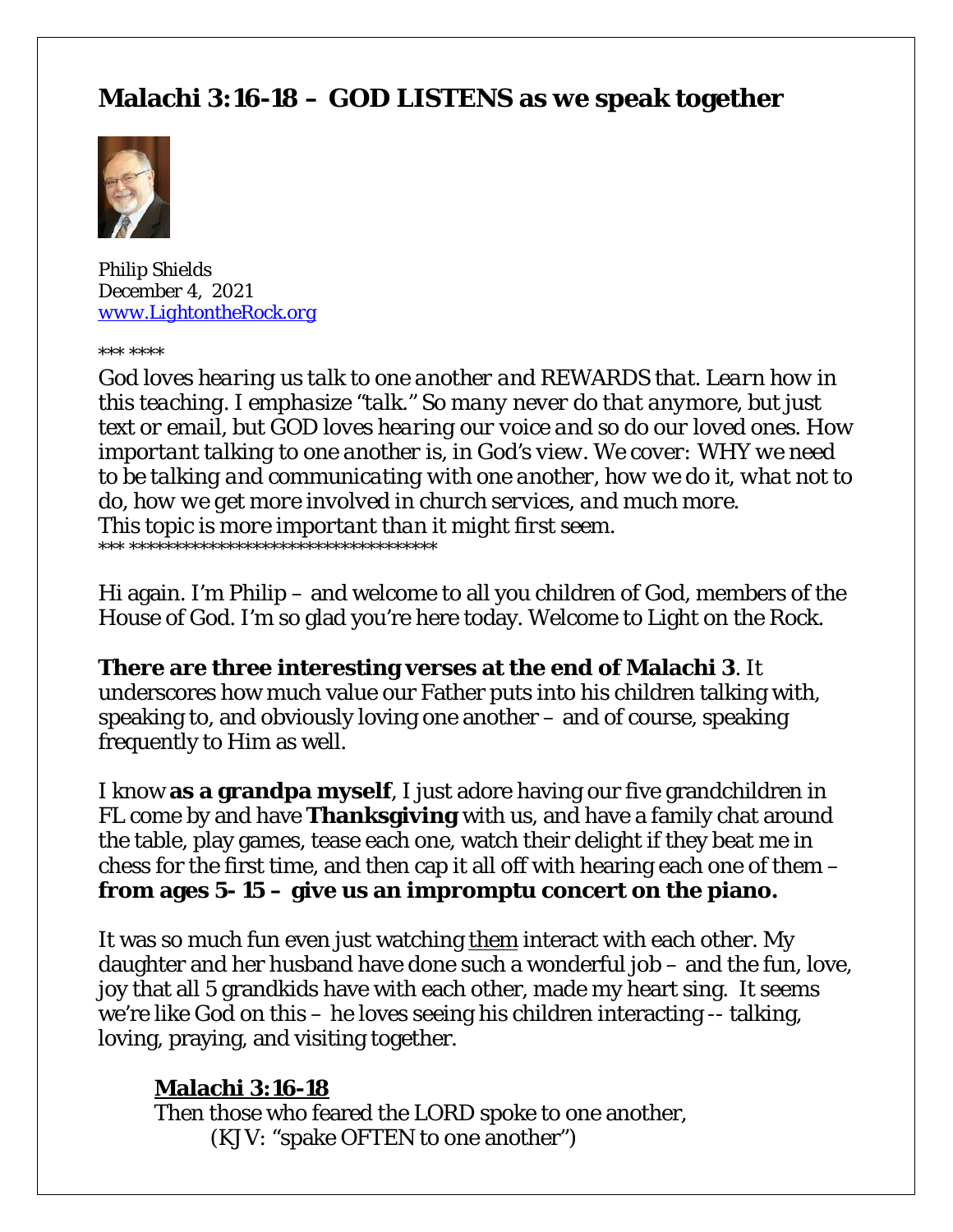# **Malachi 3:16-18 – GOD LISTENS as we speak together**



*Philip Shields December 4, 2021 [www.LightontheRock.org](http://www.lightontherock.org/)*

*\*\*\* \*\*\*\**

*God loves hearing us talk to one another and REWARDS that. Learn how in this teaching. I emphasize "talk." So many never do that anymore, but just text or email, but GOD loves hearing our voice and so do our loved ones. How important talking to one another is, in God's view. We cover: WHY we need to be talking and communicating with one another, how we do it, what not to do, how we get more involved in church services, and much more. This topic is more important than it might first seem. \*\*\* \*\*\*\*\*\*\*\*\*\*\*\*\*\*\*\*\*\*\*\*\*\*\*\*\*\*\*\*\*\*\*\*\*\*\**

Hi again. I'm Philip – and welcome to all you children of God, members of the House of God. I'm so glad you're here today. Welcome to Light on the Rock.

**There are three interesting verses at the end of Malachi 3**. It underscores how much value our Father puts into his children talking with, speaking to, and obviously loving one another – and of course, speaking frequently to Him as well.

I know **as a grandpa myself**, I just adore having our five grandchildren in FL come by and have **Thanksgiving** with us, and have a family chat around the table, play games, tease each one, watch their delight if they beat me in chess for the first time, and then cap it all off with hearing each one of them – **from ages 5- 15 – give us an impromptu concert on the piano.** 

It was so much fun even just watching *them* interact with each other. My daughter and her husband have done such a wonderful job – and the fun, love, joy that all 5 grandkids have with each other, made my heart sing. It seems we're like God on this – he loves seeing his children interacting -- talking, loving, praying, and visiting together.

#### **Malachi 3:16-18**

Then those who feared the LORD spoke to one another, (KJV: "spake OFTEN to one another")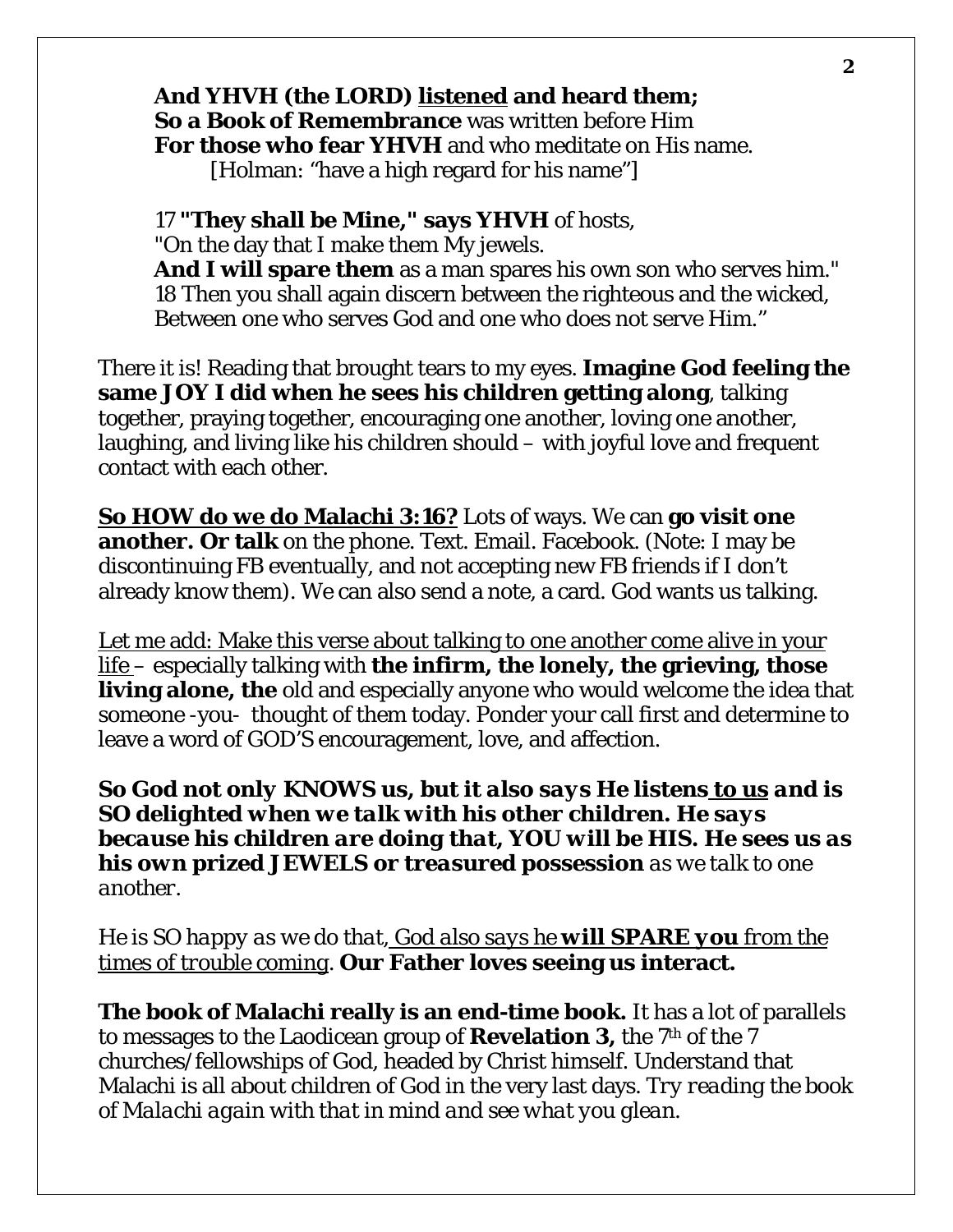## **And YHVH (the LORD) listened and heard them; So a Book of Remembrance** was written before Him **For those who fear YHVH** and who meditate on His name.

[Holman: "have a high regard for his name"]

17 **"They shall be Mine," says YHVH** of hosts, "On the day that I make them My jewels. **And I will spare them** as a man spares his own son who serves him." 18 Then you shall again discern between the righteous and the wicked, Between one who serves God and one who does not serve Him."

There it is! Reading that brought tears to my eyes. **Imagine God feeling the same JOY I did when he sees his children getting along**, talking together, praying together, encouraging one another, loving one another, laughing, and living like his children should – with joyful love and frequent contact with each other.

**So HOW do we do Malachi 3:16?** Lots of ways. We can **go visit one another. Or talk** on the phone. Text. Email. Facebook. (Note: I may be discontinuing FB eventually, and not accepting new FB friends if I don't already know them). We can also send a note, a card. God wants us talking.

Let me add: Make this verse about talking to one another come alive in your life – especially talking with **the infirm, the lonely, the grieving, those living alone, the** old and especially anyone who would welcome the idea that someone -you- thought of them today. Ponder your call first and determine to leave a word of GOD'S encouragement, love, and affection.

*So God not only KNOWS us, but it also says He listens to us and is SO delighted when we talk with his other children. He says because his children are doing that, YOU will be HIS. He sees us as his own prized JEWELS or treasured possession as we talk to one another.* 

*He is SO happy as we do that, God also says he will SPARE you from the times of trouble coming.* **Our Father loves seeing us interact.**

**The book of Malachi really is an end-time book.** It has a lot of parallels to messages to the Laodicean group of **Revelation 3,** the 7th of the 7 churches/fellowships of God, headed by Christ himself. Understand that Malachi is all about children of God in the very last days. *Try reading the book of Malachi again with that in mind and see what you glean.*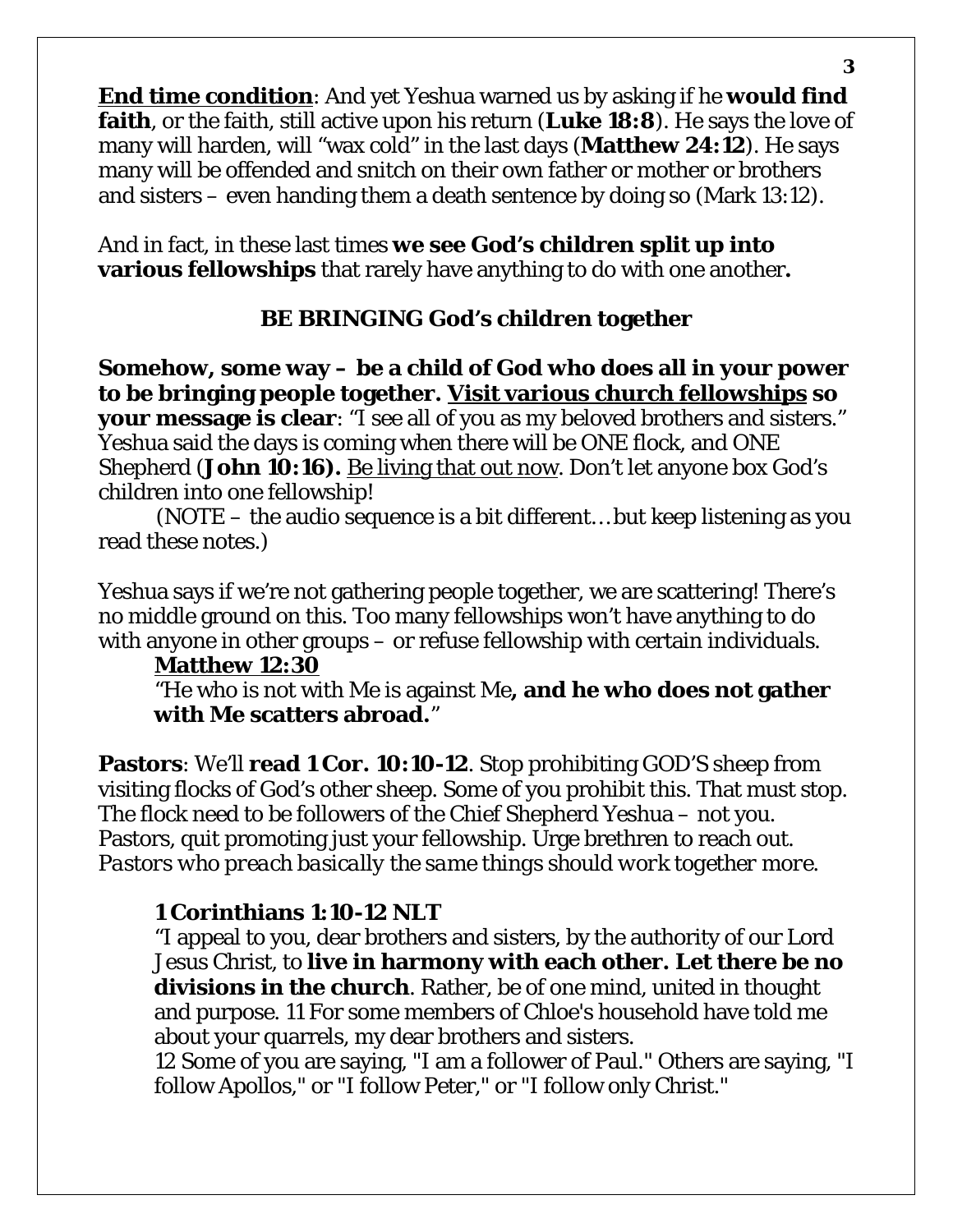**End time condition**: And yet Yeshua warned us by asking if he **would find faith**, or the faith, still active upon his return (**Luke 18:8**). He says the love of many will harden, will "wax cold" in the last days (**Matthew 24:12**). He says many will be offended and snitch on their own father or mother or brothers and sisters – even handing them a death sentence by doing so (Mark 13:12).

And in fact, in these last times **we see God's children split up into various fellowships** that rarely have anything to do with one another**.** 

## **BE BRINGING God's children together**

**Somehow, some way – be a child of God who does all in your power to be bringing people together. Visit various church fellowships so your message is clear**: "I see all of you as my beloved brothers and sisters." Yeshua said the days is coming when there will be ONE flock, and ONE Shepherd (**John 10:16).** Be living that out now. Don't let anyone box God's children into one fellowship!

 (NOTE – the audio sequence is a bit different… but keep listening as you read these notes.)

Yeshua says if we're not gathering people together, we are scattering! There's no middle ground on this. Too many fellowships won't have anything to do with anyone in other groups – or refuse fellowship with certain individuals.

#### **Matthew 12:30**

"He who is not with Me is against Me**, and he who does not gather with Me scatters abroad.**"

**Pastors**: We'll **read 1 Cor. 10:10-12**. Stop prohibiting GOD'S sheep from visiting flocks of God's other sheep. Some of you prohibit this. That must stop. The flock need to be followers of the Chief Shepherd Yeshua – not you. Pastors, quit promoting just your fellowship. Urge brethren to reach out. *Pastors who preach basically the same things should work together more.* 

## **1 Corinthians 1:10-12 NLT**

"I appeal to you, dear brothers and sisters, by the authority of our Lord Jesus Christ, to **live in harmony with each other. Let there be no divisions in the church**. Rather, be of one mind, united in thought and purpose. 11 For some members of Chloe's household have told me about your quarrels, my dear brothers and sisters.

12 Some of you are saying, "I am a follower of Paul." Others are saying, "I follow Apollos," or "I follow Peter," or "I follow only Christ."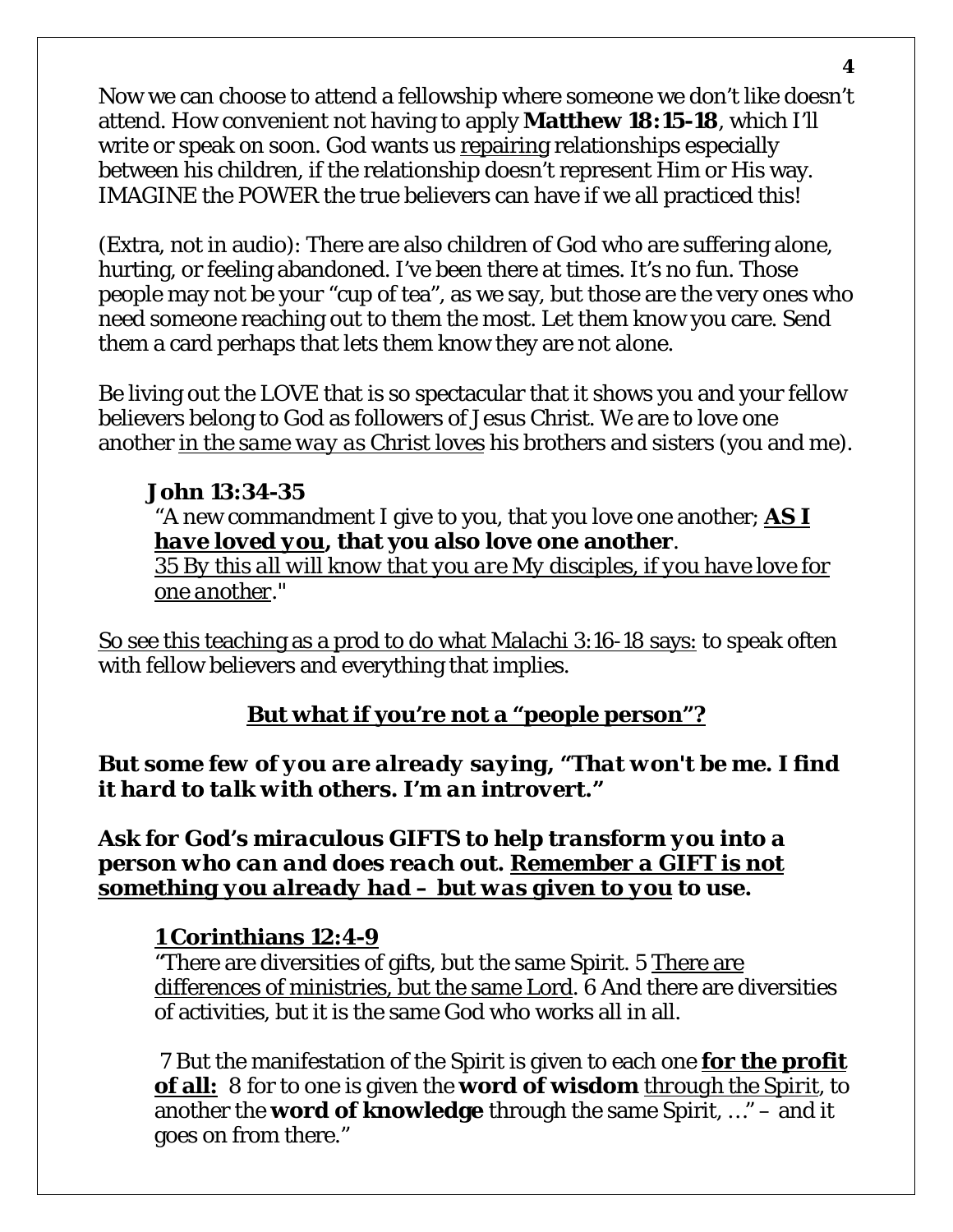Now we can choose to attend a fellowship where someone we don't like doesn't attend. How convenient not having to apply **Matthew 18:15-18**, which I'll write or speak on soon. God wants us repairing relationships especially between his children, if the relationship doesn't represent Him or His way. IMAGINE the POWER the true believers can have if we all practiced this!

(Extra, not in audio): There are also children of God who are suffering alone, hurting, or feeling abandoned. I've been there at times. It's no fun. Those people may not be your "cup of tea", as we say, but those are the very ones who need someone reaching out to them the most. Let them know you care. Send them a card perhaps that lets them know they are not alone.

Be living out the LOVE that is so spectacular that it shows you and your fellow believers belong to God as followers of Jesus Christ. We are to love one another *in the same way as Christ loves* his brothers and sisters (you and me).

## **John 13:34-35**

"A new commandment I give to you, that you love one another; *AS I have loved you***, that you also love one another**.

*35 By this all will know that you are My disciples, if you have love for one another*."

So see this teaching as a prod to do what Malachi 3:16-18 says: to speak often with fellow believers and everything that implies.

## **But what if you're not a "people person"?**

#### *But some few of you are already saying, "That won't be me. I find it hard to talk with others. I'm an introvert."*

*Ask for God's miraculous GIFTS to help transform you into a person who can and does reach out. Remember a GIFT is not something you already had – but was given to you to use.*

## **1 Corinthians 12:4-9**

"There are diversities of gifts, but the same Spirit. 5 There are differences of ministries, but the same Lord. 6 And there are diversities of activities, but it is the same God who works all in all.

7 But the manifestation of the Spirit is given to each one **for the profit of all:** 8 for to one is given the **word of wisdom** *through the Spirit*, to another the **word of knowledge** through the same Spirit, …" – and it goes on from there."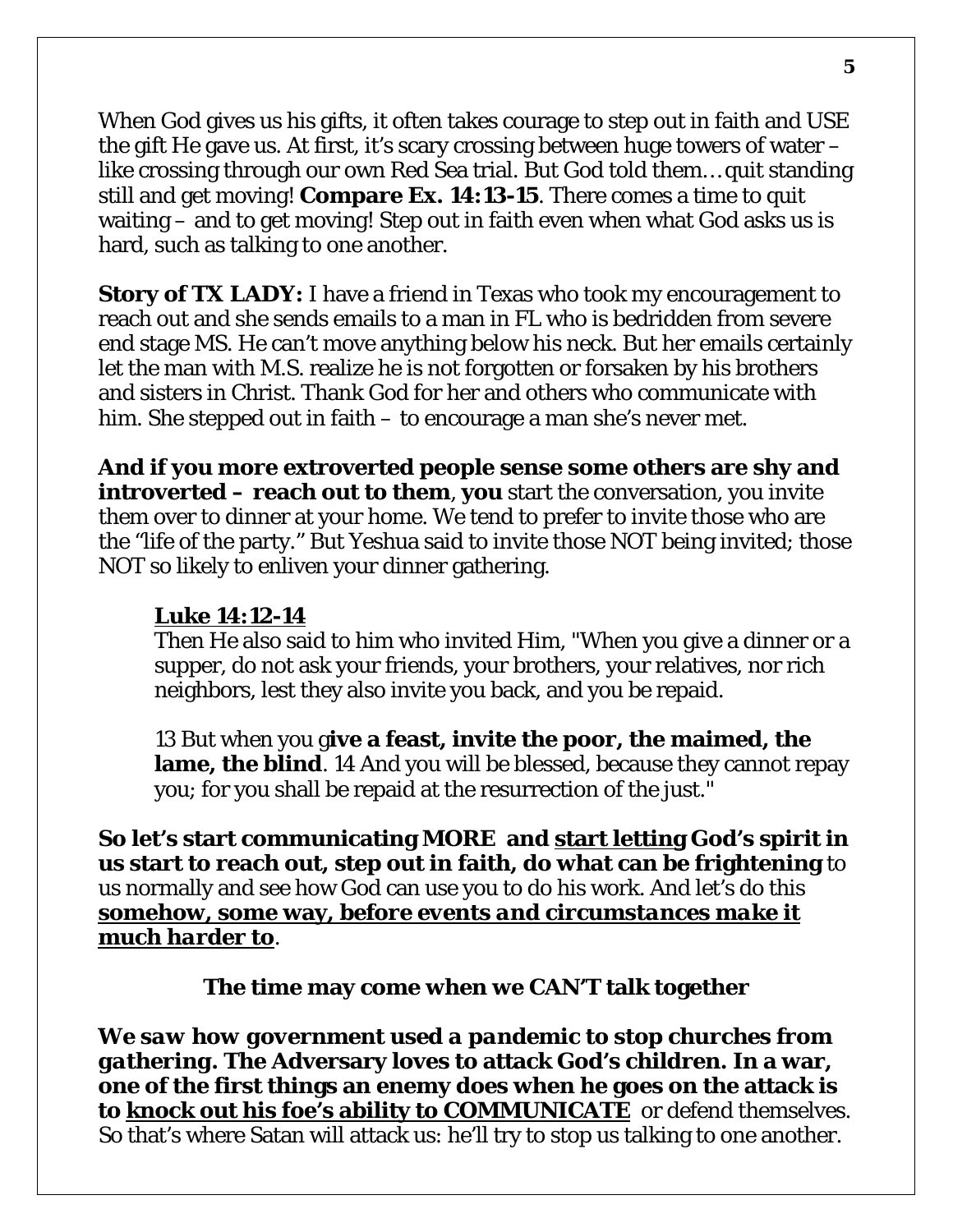When God gives us his gifts, it often takes courage to step out in faith and USE the gift He gave us. At first, it's scary crossing between huge towers of water – like crossing through our own Red Sea trial. But God told them… quit standing still and get moving! **Compare Ex. 14:13-15**. There comes a time to quit waiting – and to get moving! Step out in faith even when what God asks us is hard, such as talking to one another.

**Story of TX LADY:** I have a friend in Texas who took my encouragement to reach out and she sends emails to a man in FL who is bedridden from severe end stage MS. He can't move anything below his neck. But her emails certainly let the man with M.S. realize he is not forgotten or forsaken by his brothers and sisters in Christ. Thank God for her and others who communicate with him. She stepped out in faith – to encourage a man she's never met.

**And if you more extroverted people sense some others are shy and introverted – reach out to them**, **you** start the conversation, you invite them over to dinner at your home. We tend to prefer to invite those who are the "life of the party." But Yeshua said to invite those NOT being invited; those NOT so likely to enliven your dinner gathering.

#### **Luke 14:12-14**

Then He also said to him who invited Him, "When you give a dinner or a supper, do not ask your friends, your brothers, your relatives, nor rich neighbors, lest they also invite you back, and you be repaid.

13 But when you g**ive a feast, invite the poor, the maimed, the lame, the blind**. 14 And you will be blessed, because they cannot repay you; for you shall be repaid at the resurrection of the just."

**So let's start communicating MORE and start letting God's spirit in us start to reach out, step out in faith, do what can be frightening** to us normally and see how God can use you to do his work. And let's do this **somehow, some way***, before events and circumstances make it much harder to.* 

**The time may come when we CAN'T talk together**

*We saw how government used a pandemic to stop churches from gathering.* **The Adversary loves to attack God's children. In a war, one of the first things an enemy does when he goes on the attack is to knock out his foe's ability to COMMUNICATE** or defend themselves. So that's where Satan will attack us: he'll try to stop us talking to one another.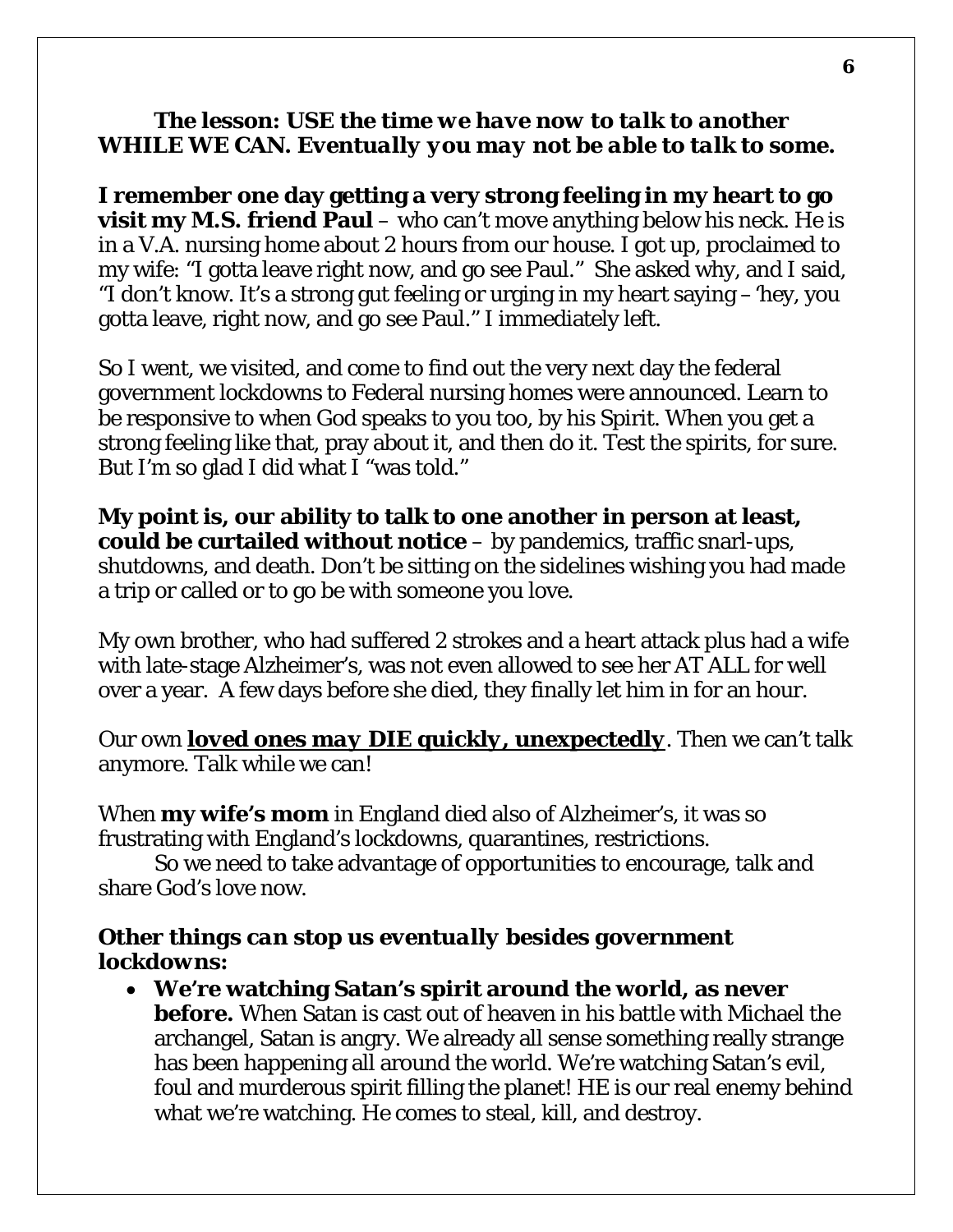#### *The lesson: USE the time we have now to talk to another WHILE WE CAN. Eventually you may not be able to talk to some.*

**I remember one day getting a very strong feeling in my heart to go visit my M.S. friend Paul** – who can't move anything below his neck. He is in a V.A. nursing home about 2 hours from our house. I got up, proclaimed to my wife: "I gotta leave right now, and go see Paul." She asked why, and I said, "I don't know. It's a strong gut feeling or urging in my heart saying –'hey, you gotta leave, right now, and go see Paul." I immediately left.

So I went, we visited, and come to find out the very next day the federal government lockdowns to Federal nursing homes were announced. Learn to be responsive to when God speaks to you too, by his Spirit. When you get a strong feeling like that, pray about it, and then do it. Test the spirits, for sure. But I'm so glad I did what I "was told."

**My point is, our ability to talk to one another in person at least, could be curtailed without notice** – by pandemics, traffic snarl-ups, shutdowns, and death. Don't be sitting on the sidelines wishing you had made a trip or called or to go be with someone you love.

My own brother, who had suffered 2 strokes and a heart attack plus had a wife with late-stage Alzheimer's, was not even allowed to see her AT ALL for well over a year. A few days before she died, they finally let him in for an hour.

Our own *loved ones may DIE quickly, unexpectedly*. Then we can't talk anymore. Talk while we can!

When **my wife's mom** in England died also of Alzheimer's, it was so frustrating with England's lockdowns, quarantines, restrictions.

So we need to take advantage of opportunities to encourage, talk and share God's love now.

## *Other things can stop us eventually besides government lockdowns:*

• **We're watching Satan's spirit around the world, as never before.** When Satan is cast out of heaven in his battle with Michael the archangel, Satan is angry. We already all sense something really strange has been happening all around the world. We're watching Satan's evil, foul and murderous spirit filling the planet! HE is our real enemy behind what we're watching. He comes to steal, kill, and destroy.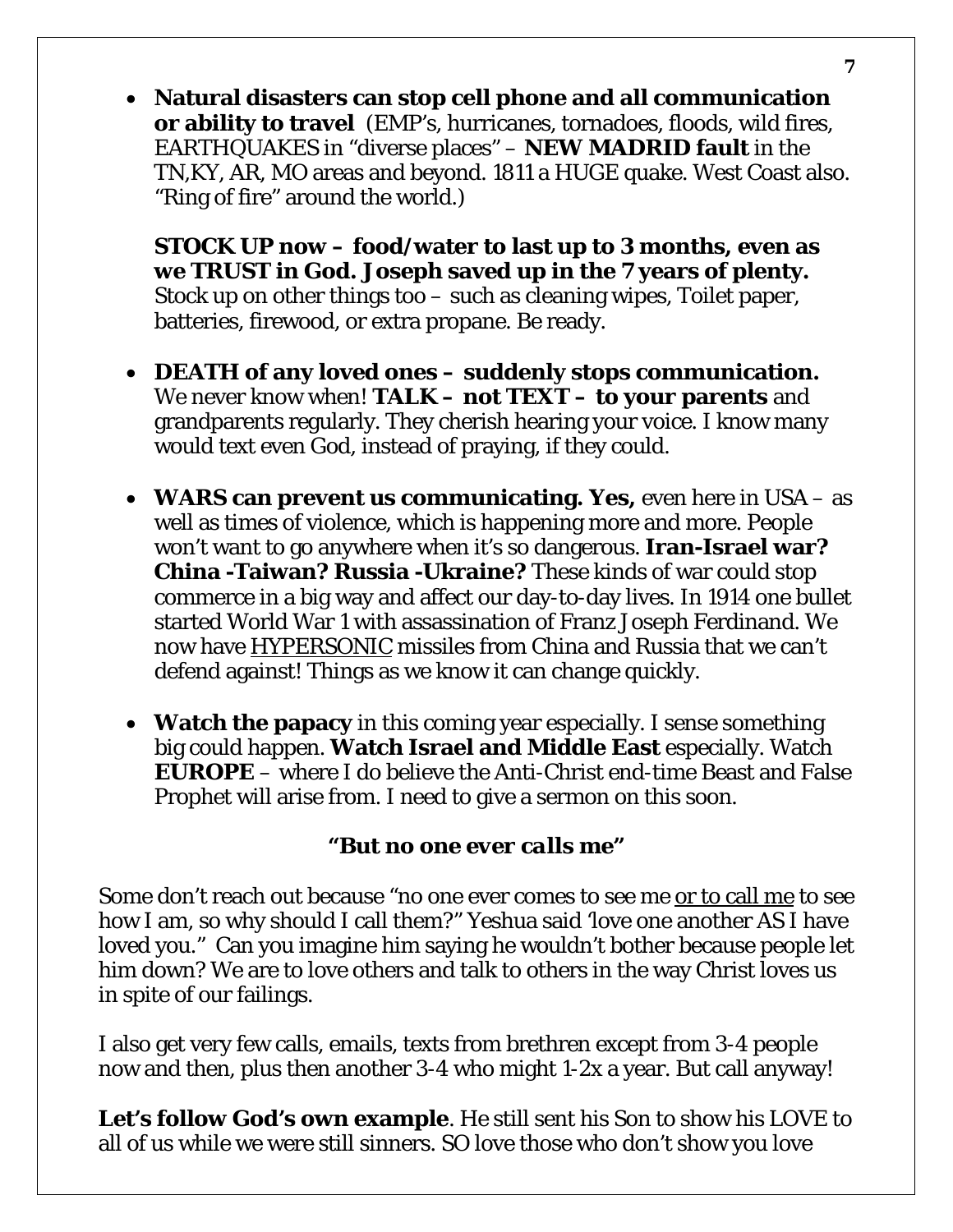• **Natural disasters can stop cell phone and all communication or ability to travel** (EMP's, hurricanes, tornadoes, floods, wild fires, EARTHQUAKES in "diverse places" – **NEW MADRID fault** in the TN,KY, AR, MO areas and beyond. 1811 a HUGE quake. West Coast also. "Ring of fire" around the world.)

**STOCK UP now – food/water to last up to 3 months, even as we TRUST in God. Joseph saved up in the 7 years of plenty.**  Stock up on other things too – such as cleaning wipes, Toilet paper, batteries, firewood, or extra propane. Be ready.

- **DEATH of any loved ones – suddenly stops communication.**  We never know when! **TALK – not TEXT – to your parents** and grandparents regularly. They cherish hearing your voice. I know many would text even God, instead of praying, if they could.
- **WARS can prevent us communicating. Yes,** even here in USA as well as times of violence, which is happening more and more. People won't want to go anywhere when it's so dangerous. **Iran-Israel war? China -Taiwan? Russia -Ukraine?** These kinds of war could stop commerce in a big way and affect our day-to-day lives. In 1914 one bullet started World War 1 with assassination of Franz Joseph Ferdinand. We now have HYPERSONIC missiles from China and Russia that we can't defend against! Things as we know it can change quickly.
- **Watch the papacy** in this coming year especially. I sense something big could happen. **Watch Israel and Middle East** especially. Watch **EUROPE** – where I do believe the Anti-Christ end-time Beast and False Prophet will arise from. I need to give a sermon on this soon.

#### *"But no one ever calls me"*

Some don't reach out because "no one ever comes to see *me* or to call me to see how I am, so why should I call them?" Yeshua said 'love one another AS I have loved you." Can you imagine him saying he wouldn't bother because people let him down? We are to love others and talk to others in the way Christ loves us in spite of our failings.

I also get very few calls, emails, texts from brethren except from 3-4 people now and then, plus then another 3-4 who might 1-2x a year. But call anyway!

**Let's follow God's own example**. He still sent his Son to show his LOVE to all of us while we were still sinners. SO love those who don't show you love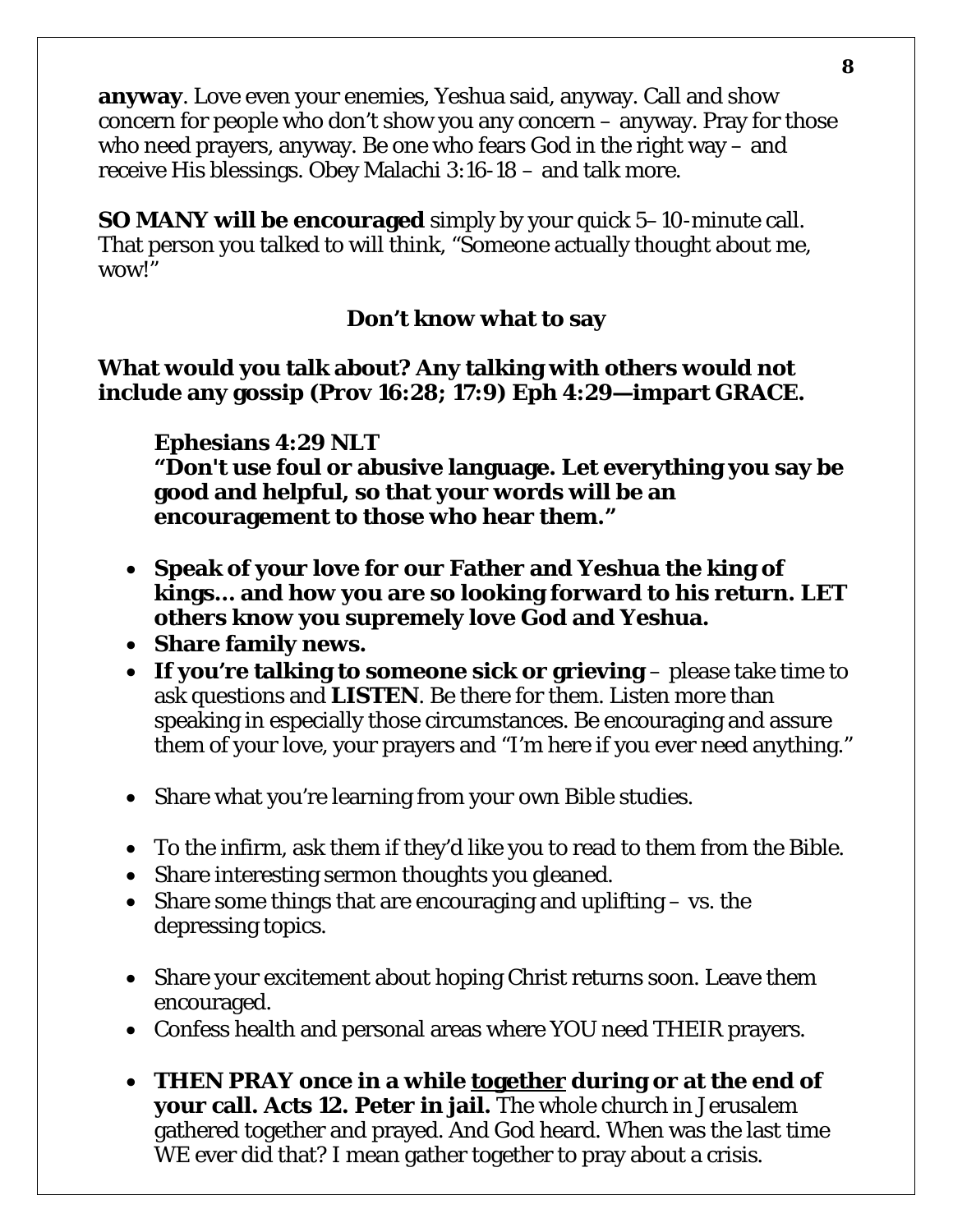**anyway**. Love even your enemies, Yeshua said, anyway. Call and show concern for people who don't show you any concern – anyway. Pray for those who need prayers, anyway. Be one who fears God in the right way – and receive His blessings. Obey Malachi 3:16-18 – and talk more.

**SO MANY will be encouraged** simply by your quick 5–10-minute call. That person you talked to will think, "Someone actually thought about me, wow!"

## **Don't know what to say**

#### **What would you talk about? Any talking with others would not include any gossip (Prov 16:28; 17:9) Eph 4:29—impart GRACE.**

**Ephesians 4:29 NLT** 

**"Don't use foul or abusive language. Let everything you say be good and helpful, so that your words will be an encouragement to those who hear them."**

- **Speak of your love for our Father and Yeshua the king of kings… and how you are so looking forward to his return. LET others know you supremely love God and Yeshua.**
- **Share family news.**
- **If you're talking to someone sick or grieving** please take time to ask questions and **LISTEN**. Be there for them. Listen more than speaking in especially those circumstances. Be encouraging and assure them of your love, your prayers and "I'm here if you ever need anything."
- Share what you're learning from your own Bible studies.
- To the infirm, ask them if they'd like you to read to them from the Bible.
- Share interesting sermon thoughts you gleaned.
- Share some things that are encouraging and uplifting vs. the depressing topics.
- Share your excitement about hoping Christ returns soon. Leave them encouraged.
- Confess health and personal areas where YOU need THEIR prayers.
- **THEN PRAY once in a while together during or at the end of your call. Acts 12. Peter in jail.** The whole church in Jerusalem gathered together and prayed. And God heard. When was the last time WE ever did that? I mean gather together to pray about a crisis.